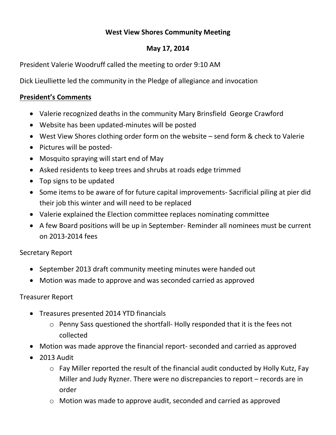## **West View Shores Community Meeting**

## **May 17, 2014**

President Valerie Woodruff called the meeting to order 9:10 AM

Dick Lieulliette led the community in the Pledge of allegiance and invocation

## **President's Comments**

- Valerie recognized deaths in the community Mary Brinsfield George Crawford
- Website has been updated-minutes will be posted
- West View Shores clothing order form on the website send form & check to Valerie
- Pictures will be posted-
- Mosquito spraying will start end of May
- Asked residents to keep trees and shrubs at roads edge trimmed
- $\bullet$  Top signs to be updated
- Some items to be aware of for future capital improvements- Sacrificial piling at pier did their job this winter and will need to be replaced
- Valerie explained the Election committee replaces nominating committee
- A few Board positions will be up in September- Reminder all nominees must be current on 2013-2014 fees

# Secretary Report

- September 2013 draft community meeting minutes were handed out
- Motion was made to approve and was seconded carried as approved

# Treasurer Report

- Treasures presented 2014 YTD financials
	- o Penny Sass questioned the shortfall- Holly responded that it is the fees not collected
- Motion was made approve the financial report- seconded and carried as approved
- $\bullet$  2013 Audit
	- o Fay Miller reported the result of the financial audit conducted by Holly Kutz, Fay Miller and Judy Ryzner. There were no discrepancies to report – records are in order
	- o Motion was made to approve audit, seconded and carried as approved